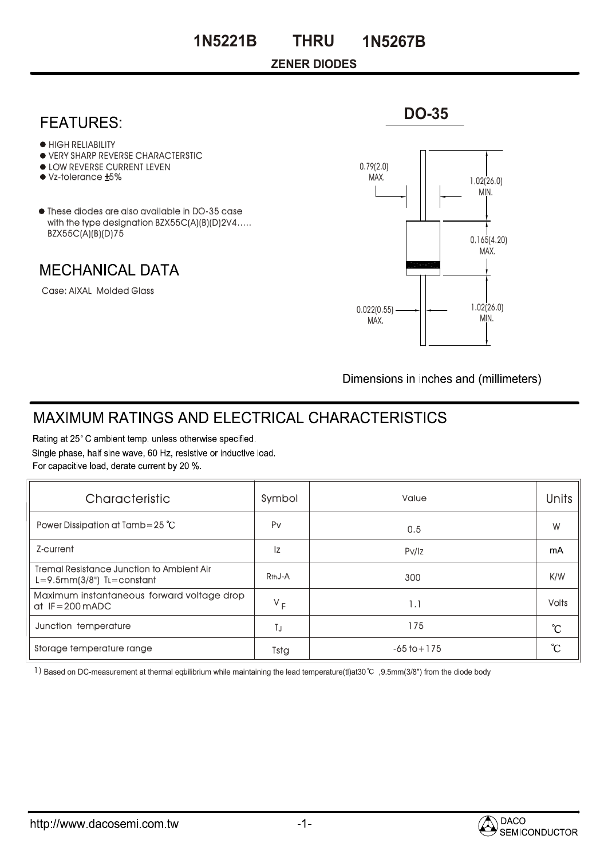### **ZENER DIODES**

## **FEATURES:**

- **HIGH RELIABILITY**
- VERY SHARP REVERSE CHARACTERSTIC
- **.** LOW REVERSE CURRENT LEVEN
- Vz-tolerance ±5%
- These diodes are also available in DO-35 case with the type designation BZX55C(A)(B)(D)2V4..... BZX55C(A)(B)(D)75

**MECHANICAL DATA** 

Case: AIXAL Molded Glass



**DO-35**

Dimensions in inches and (millimeters)

# **MAXIMUM RATINGS AND ELECTRICAL CHARACTERISTICS**

Rating at 25°C ambient temp. unless otherwise specified. Single phase, half sine wave, 60 Hz, resistive or inductive load. For capacitive load, derate current by 20 %.

| Characteristic                                                               | Symbol              | Value           | <b>Units</b>    |  |
|------------------------------------------------------------------------------|---------------------|-----------------|-----------------|--|
| Power Dissipation at Tamb=25 $^{\circ}$ C                                    | Pv                  | 0.5             | W               |  |
| Z-current                                                                    | Iz                  | PV/iz           | mA              |  |
| Tremal Resistance Junction to Ambient Air<br>$L=9.5$ mm $(3/8")$ TL=constant | R <sub>th</sub> J-A | 300             | K/W             |  |
| Maximum instantaneous forward voltage drop<br>at $IF = 200 \text{ mADC}$     | $V_F$               | 1.1             | <b>Volts</b>    |  |
| Junction temperature                                                         | ТJ                  | 175             | $\rm ^{\circ}C$ |  |
| Storage temperature range                                                    | Tstg                | $-65$ to $+175$ |                 |  |

1) Based on DC-measurement at thermal equilibrium while maintaining the lead temperature(tl)at30  $\degree$  ,9.5mm(3/8") from the diode body



 $-1-$ 

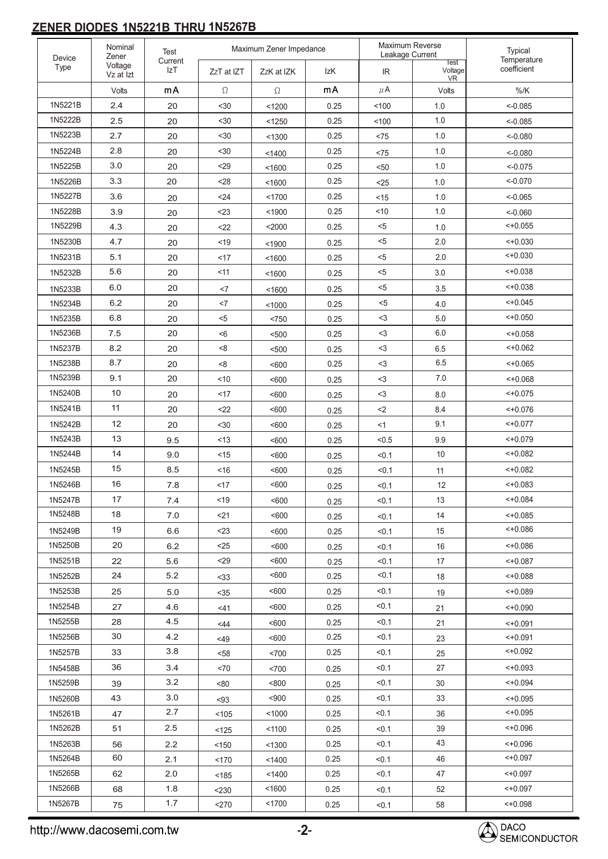### **ZENER DIODES 1N5221B THRU 1N5267B**

| Device<br>Type     | Nominal<br>Zener<br>Voltage<br>Vz at Izt | Maximum Zener Impedance<br><b>Test</b> |            |                  | Maximum Reverse<br>Leakage Current |         | Typical                             |                            |
|--------------------|------------------------------------------|----------------------------------------|------------|------------------|------------------------------------|---------|-------------------------------------|----------------------------|
|                    |                                          | Current<br>IzT                         | ZzT at IZT | ZzK at IZK       | IzK                                | IR.     | <b>Test</b><br>Voltage<br><b>VR</b> | Temperature<br>coefficient |
|                    | Volts                                    | mA                                     | $\Omega$   | $\Omega$         | mA                                 | $\mu$ A | Volts                               | $\%$ /K                    |
| 1N5221B            | 2.4                                      | 20                                     | $30$       | < 1200           | 0.25                               | 100     | 1.0                                 | $< -0.085$                 |
| 1N5222B            | 2.5                                      | 20                                     | $30$       | < 1250           | 0.25                               | 100     | 1.0                                 | $< -0.085$                 |
| 1N5223B            | 2.7                                      | 20                                     | <30        | < 1300           | 0.25                               | <75     | 1.0                                 | $< -0.080$                 |
| 1N5224B            | 2.8                                      | 20                                     | $30$       | < 1400           | 0.25                               | < 75    | 1.0                                 | $< -0.080$                 |
| 1N5225B            | 3.0                                      | 20                                     | <29        | < 1600           | 0.25                               | $50$    | 1.0                                 | $< -0.075$                 |
| 1N5226B            | 3.3                                      | 20                                     | < 28       | < 1600           | 0.25                               | $25$    | 1.0                                 | $<-0.070$                  |
| 1N5227B            | 3.6                                      | 20                                     | $24$       | < 1700           | 0.25                               | < 15    | 1.0                                 | $< -0.065$                 |
| 1N5228B            | 3.9                                      | 20                                     | $<$ 23     | < 1900           | 0.25                               | < 10    | 1.0                                 | $< -0.060$                 |
| 1N5229B            | 4.3                                      | 20                                     | $22$       | $2000$           | 0.25                               | $<$ 5   | 1.0                                 | $< +0.055$                 |
| 1N5230B            | 4.7                                      | 20                                     | < 19       | < 1900           | 0.25                               | $5$     | 2.0                                 | 40.030                     |
| 1N5231B            | 5.1                                      | 20                                     | <17        | < 1600           | 0.25                               | $5$     | 2.0                                 | 40.030                     |
| 1N5232B            | 5.6                                      | 20                                     | < 11       | < 1600           | 0.25                               | $5$     | 3.0                                 | 40.038                     |
| 1N5233B            | 6.0                                      | 20                                     | $<$ 7      | < 1600           | 0.25                               | $< 5$   | 3.5                                 | 40.038                     |
| 1N5234B            | 6.2                                      | 20                                     | <7         | < 1000           | 0.25                               | $<$ 5   | 4.0                                 | 40.045                     |
| 1N5235B            | 6.8                                      | 20                                     | $5$        | < 750            | 0.25                               | $<$ 3   | 5.0                                 | 40.050                     |
| 1N5236B            | 7.5                                      | 20                                     | < 6        | $500$            | 0.25                               | $<$ 3   | 6.0                                 | 40.058                     |
| 1N5237B            | 8.2                                      | 20                                     | < 8        | $500$            | 0.25                               | $<$ 3   | 6.5                                 | $< +0.062$                 |
| 1N5238B            | 8.7                                      | 20                                     | < 8        | < 600            | 0.25                               | $<$ 3   | 6.5                                 | $< +0.065$                 |
| 1N5239B            | 9.1                                      | 20                                     | ~10        | < 600            | 0.25                               | $<$ 3   | 7.0                                 | 40.068                     |
| 1N5240B            | 10                                       | 20                                     | <17        | < 600            | 0.25                               | $<$ 3   | 8.0                                 | $< +0.075$                 |
| 1N5241B            | 11                                       | 20                                     | $22$       | < 600            | 0.25                               | $2$     | 8.4                                 | 40.076                     |
| 1N5242B            | 12                                       | 20                                     | $30$       | < 600            | 0.25                               | $<$ 1   | 9.1                                 | $< +0.077$                 |
| 1N5243B            | 13                                       | 9.5                                    | < 13       | < 600            | 0.25                               | < 0.5   | 9.9                                 | $< +0.079$                 |
| 1N5244B            | 14                                       | 9.0                                    | < 15       | < 600            | 0.25                               | < 0.1   | 10                                  | 40.082                     |
| 1N5245B            | 15                                       | 8.5                                    | ~16        | < 600            | 0.25                               | < 0.1   | 11                                  | $< +0.082$                 |
| 1N5246B            | 16                                       | 7.8                                    | $<$ 17     | < 600            | 0.25                               | < 0.1   | 12                                  | $< +0.083$                 |
| 1N5247B            | 17                                       | 7.4                                    | $19$       | <600             | 0.25                               | < 0.1   | 13                                  | 40.084                     |
| 1N5248B            | 18                                       | 7.0                                    | <21        | < 600            | 0.25                               | < 0.1   | 14                                  | $< +0.085$                 |
| 1N5249B            | 19                                       | 6.6                                    | $<$ 23     | $600$            | 0.25                               | < 0.1   | 15                                  | 40.086                     |
| 1N5250B            | 20                                       | 6.2                                    | $<$ 25     | <600             | 0.25                               | < 0.1   | 16                                  | 40.086                     |
| 1N5251B            | 22                                       | 5.6                                    | $29$       | < 600            | 0.25                               | < 0.1   | 17                                  | $< +0.087$                 |
| 1N5252B            | 24                                       | 5.2                                    | $33$       | < 600            | 0.25                               | < 0.1   | 18                                  | 40.088                     |
| 1N5253B            | 25                                       | 5.0                                    |            | < 600            | 0.25                               | < 0.1   |                                     | $< +0.089$                 |
| 1N5254B            | 27                                       | 4.6                                    | $35$       | $600$            | 0.25                               | < 0.1   | 19                                  |                            |
| 1N5255B            | 28                                       | 4.5                                    | 41         |                  | 0.25                               | < 0.1   | 21                                  | $< +0.090$                 |
| 1N5256B            | 30                                       | 4.2                                    | <44        | < 600            | 0.25                               | < 0.1   | 21                                  | $< +0.091$<br>$< +0.091$   |
| 1N5257B            | 33                                       | 3.8                                    | <49        | <600             | 0.25                               | < 0.1   | 23                                  | 40.092                     |
|                    | 36                                       |                                        | $58$       | < 700            |                                    |         | 25                                  |                            |
| 1N5458B            |                                          | 3.4<br>3.2                             | <70        | < 700            | 0.25                               | < 0.1   | 27                                  | $~< +0.093$                |
| 1N5259B            | 39                                       | 3.0                                    | < 80       | < 800<br>$900$   | 0.25                               | < 0.1   | 30                                  | $< +0.094$                 |
| 1N5260B            | 43                                       | 2.7                                    | $93$       |                  | 0.25                               | < 0.1   | 33                                  | $< +0.095$<br>$< +0.095$   |
| 1N5261B            | 47                                       |                                        | < 105      | < 1000           | 0.25                               | < 0.1   | 36                                  |                            |
| 1N5262B            | 51                                       | 2.5                                    | < 125      | < 1100           | 0.25                               | < 0.1   | 39                                  | 40.096                     |
| 1N5263B            | 56<br>60                                 | 2.2                                    | < 150      | < 1300           | 0.25                               | < 0.1   | 43                                  | 40.096<br>$< +0.097$       |
| 1N5264B<br>1N5265B | 62                                       | 2.1                                    | < 170      | < 1400           | 0.25                               | < 0.1   | 46                                  | $< +0.097$                 |
| 1N5266B            |                                          | 2.0                                    | < 185      | < 1400           | 0.25                               | < 0.1   | 47                                  | $< +0.097$                 |
| 1N5267B            | 68                                       | 1.8<br>1.7                             | < 230      | < 1600<br>< 1700 | 0.25                               | < 0.1   | 52                                  |                            |
|                    | 75                                       |                                        | $<$ 270    |                  | 0.25                               | < 0.1   | 58                                  | 40.098                     |